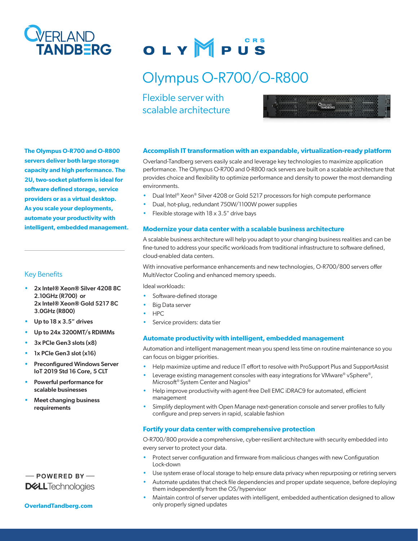

# OLYMPUS

## Olympus O-R700/O-R800

Flexible server with scalable architecture



**The Olympus O-R700 and O-R800 servers deliver both large storage capacity and high performance. The 2U, two-socket platform is ideal for software defined storage, service providers or as a virtual desktop. As you scale your deployments, automate your productivity with intelligent, embedded management.**

#### Key Benefits

- 2x Intel® Xeon® Silver 4208 8C 2.10GHz (R700) or 2x Intel® Xeon® Gold 5217 8C 3.0GHz (R800)
- Up to 18 x 3.5" drives
- Up to 24x 3200MT/s RDIMMs
- 3x PCIe Gen3 slots (x8)
- 1x PCIe Gen3 slot (x16)
- Preconfigured Windows Server IoT 2019 Std 16 Core, 5 CLT
- Powerful performance for scalable businesses
- Meet changing business requirements

### $-$  POWERED BY-**D&LL**Technologies

#### **[OverlandTandberg.com](http://www.overlandtandberg.com)**

#### **Accomplish IT transformation with an expandable, virtualization-ready platform**

Overland-Tandberg servers easily scale and leverage key technologies to maximize application performance. The Olympus O-R700 and 0-R800 rack servers are built on a scalable architecture that provides choice and flexibility to optimize performance and density to power the most demanding environments.

- Dual Intel® Xeon® Silver 4208 or Gold 5217 processors for high compute performance
- Dual, hot-plug, redundant 750W/1100W power supplies
- Flexible storage with  $18 \times 3.5$ " drive bays

#### **Modernize your data center with a scalable business architecture**

A scalable business architecture will help you adapt to your changing business realities and can be fine-tuned to address your specific workloads from traditional infrastructure to software defined, cloud-enabled data centers.

With innovative performance enhancements and new technologies, O-R700/800 servers offer MultiVector Cooling and enhanced memory speeds.

Ideal workloads:

- Software-defined storage
- **Big Data server**
- HPC
- Service providers: data tier

#### **Automate productivity with intelligent, embedded management**

Automation and intelligent management mean you spend less time on routine maintenance so you can focus on bigger priorities.

- Help maximize uptime and reduce IT effort to resolve with ProSupport Plus and SupportAssist
- Leverage existing management consoles with easy integrations for VMware® vSphere®, Microsoft® System Center and Nagios®
- Help improve productivity with agent-free Dell EMC iDRAC9 for automated, efficient management
- Simplify deployment with Open Manage next-generation console and server profiles to fully configure and prep servers in rapid, scalable fashion

#### **Fortify your data center with comprehensive protection**

O-R700/800 provide a comprehensive, cyber-resilient architecture with security embedded into every server to protect your data.

- Protect server configuration and firmware from malicious changes with new Configuration Lock-down
- Use system erase of local storage to help ensure data privacy when repurposing or retiring servers
- Automate updates that check file dependencies and proper update sequence, before deploying them independently from the OS/hypervisor
- Maintain control of server updates with intelligent, embedded authentication designed to allow only properly signed updates